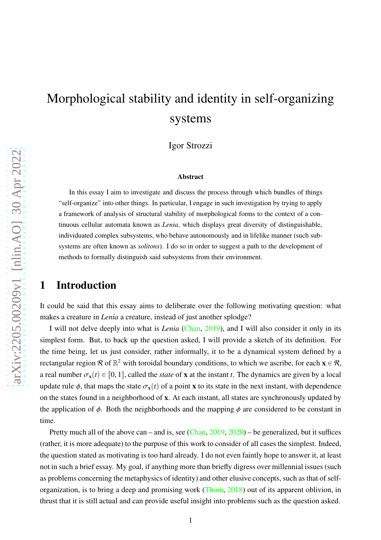# Morphological stability and identity in self-organizing systems

Igor Strozzi

#### Abstract

In this essay I aim to investigate and discuss the process through which bundles of things "self-organize" into other things. In particular, I engage in such investigation by trying to apply a framework of analysis of structural stability of morphological forms to the context of a continuous cellular automata known as *Lenia*, which displays great diversity of distinguishable, individuated complex subsystems, who behave autonomously and in lifelike manner (such subsystems are often known as *solitons*). I do so in order to suggest a path to the development of methods to formally distinguish said subsystems from their environment.

# 1 Introduction

It could be said that this essay aims to deliberate over the following motivating question: what makes a creature in *Lenia* a creature, instead of just another splodge?

I will not delve deeply into what is *Lenia* [\(Chan,](#page-9-0) [2019\)](#page-9-0), and I will also consider it only in its simplest form. But, to back up the question asked, I will provide a sketch of its definition. For the time being, let us just consider, rather informally, it to be a dynamical system defined by a rectangular region R of  $\mathbb{R}^2$  with toroidal boundary conditions, to which we ascribe, for each  $\mathbf{x} \in \mathcal{R}$ , a real number  $\sigma_{\mathbf{x}}(t) \in [0, 1]$ , called the *state* of **x** at the instant *t*. The dynamics are given by a local update rule  $\phi$ , that maps the state  $\sigma_x(t)$  of a point x to its state in the next instant, with dependence on the states found in a neighborhood of x. At each instant, all states are synchronously updated by the application of  $\phi$ . Both the neighborhoods and the mapping  $\phi$  are considered to be constant in time.

Pretty much all of the above can – and is, see [\(Chan](#page-9-0), [2019,](#page-9-0) [2020](#page-9-1)) – be generalized, but it suffices (rather, it is more adequate) to the purpose of this work to consider of all cases the simplest. Indeed, the question stated as motivating is too hard already. I do not even faintly hope to answer it, at least not in such a brief essay. My goal, if anything more than briefly digress over millennial issues (such as problems concerning the metaphysics of identity) and other elusive concepts, such as that of selforganization, is to bring a deep and promising work [\(Thom,](#page-10-0) [2018\)](#page-10-0) out of its apparent oblivion, in thrust that it is still actual and can provide useful insight into problems such as the question asked.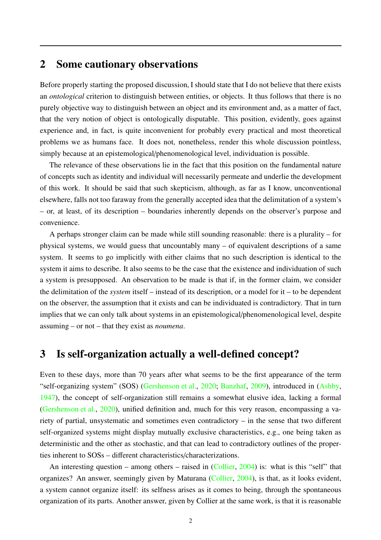# 2 Some cautionary observations

Before properly starting the proposed discussion, I should state that I do not believe that there exists an *ontological* criterion to distinguish between entities, or objects. It thus follows that there is no purely objective way to distinguish between an object and its environment and, as a matter of fact, that the very notion of object is ontologically disputable. This position, evidently, goes against experience and, in fact, is quite inconvenient for probably every practical and most theoretical problems we as humans face. It does not, nonetheless, render this whole discussion pointless, simply because at an epistemological/phenomenological level, individuation is possible.

The relevance of these observations lie in the fact that this position on the fundamental nature of concepts such as identity and individual will necessarily permeate and underlie the development of this work. It should be said that such skepticism, although, as far as I know, unconventional elsewhere, falls not too faraway from the generally accepted idea that the delimitation of a system's – or, at least, of its description – boundaries inherently depends on the observer's purpose and convenience.

A perhaps stronger claim can be made while still sounding reasonable: there is a plurality – for physical systems, we would guess that uncountably many – of equivalent descriptions of a same system. It seems to go implicitly with either claims that no such description is identical to the system it aims to describe. It also seems to be the case that the existence and individuation of such a system is presupposed. An observation to be made is that if, in the former claim, we consider the delimitation of the *system* itself – instead of its description, or a model for it – to be dependent on the observer, the assumption that it exists and can be individuated is contradictory. That in turn implies that we can only talk about systems in an epistemological/phenomenological level, despite assuming – or not – that they exist as *noumena*.

#### 3 Is self-organization actually a well-defined concept?

Even to these days, more than 70 years after what seems to be the first appearance of the term "self-organizing system" (SOS) [\(Gershenson et al.,](#page-9-2) [2020;](#page-9-2) [Banzhaf](#page-9-3), [2009](#page-9-3)), introduced in [\(Ashby,](#page-9-4) [1947](#page-9-4)), the concept of self-organization still remains a somewhat elusive idea, lacking a formal [\(Gershenson et al.](#page-9-2), [2020](#page-9-2)), unified definition and, much for this very reason, encompassing a variety of partial, unsystematic and sometimes even contradictory – in the sense that two different self-organized systems might display mutually exclusive characteristics, e.g., one being taken as deterministic and the other as stochastic, and that can lead to contradictory outlines of the properties inherent to SOSs – different characteristics/characterizations.

An interesting question – among others – raised in [\(Collier,](#page-9-5) [2004\)](#page-9-5) is: what is this "self" that organizes? An answer, seemingly given by Maturana [\(Collier](#page-9-5), [2004\)](#page-9-5), is that, as it looks evident, a system cannot organize itself: its selfness arises as it comes to being, through the spontaneous organization of its parts. Another answer, given by Collier at the same work, is that it is reasonable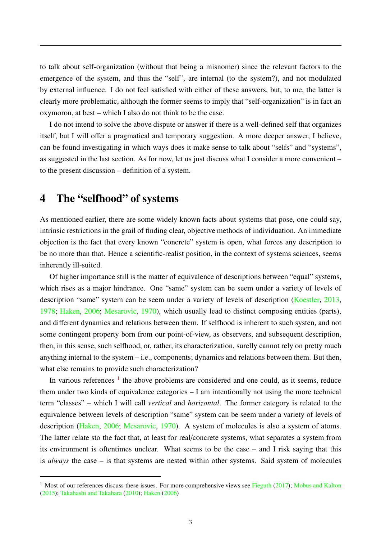to talk about self-organization (without that being a misnomer) since the relevant factors to the emergence of the system, and thus the "self", are internal (to the system?), and not modulated by external influence. I do not feel satisfied with either of these answers, but, to me, the latter is clearly more problematic, although the former seems to imply that "self-organization" is in fact an oxymoron, at best – which I also do not think to be the case.

I do not intend to solve the above dispute or answer if there is a well-defined self that organizes itself, but I will offer a pragmatical and temporary suggestion. A more deeper answer, I believe, can be found investigating in which ways does it make sense to talk about "selfs" and "systems", as suggested in the last section. As for now, let us just discuss what I consider a more convenient – to the present discussion – definition of a system.

### 4 The "selfhood" of systems

As mentioned earlier, there are some widely known facts about systems that pose, one could say, intrinsic restrictions in the grail of finding clear, objective methods of individuation. An immediate objection is the fact that every known "concrete" system is open, what forces any description to be no more than that. Hence a scientific-realist position, in the context of systems sciences, seems inherently ill-suited.

Of higher importance still is the matter of equivalence of descriptions between "equal" systems, which rises as a major hindrance. One "same" system can be seem under a variety of levels of description "same" system can be seem under a variety of levels of description [\(Koestler,](#page-9-6) [2013,](#page-9-6) [1978](#page-9-7); [Haken,](#page-9-8) [2006;](#page-9-8) [Mesarovic](#page-9-9), [1970](#page-9-9)), which usually lead to distinct composing entities (parts), and different dynamics and relations between them. If selfhood is inherent to such systen, and not some contingent property born from our point-of-view, as observers, and subsequent description, then, in this sense, such selfhood, or, rather, its characterization, surelly cannot rely on pretty much anything internal to the system – i.e., components; dynamics and relations between them. But then, what else remains to provide such characterization?

In various references  $1$  the above problems are considered and one could, as it seems, reduce them under two kinds of equivalence categories – I am intentionally not using the more technical term "classes" – which I will call *vertical* and *horizontal*. The former category is related to the equivalence between levels of description "same" system can be seem under a variety of levels of description [\(Haken,](#page-9-8) [2006;](#page-9-8) [Mesarovic](#page-9-9), [1970](#page-9-9)). A system of molecules is also a system of atoms. The latter relate sto the fact that, at least for real/concrete systems, what separates a system from its environment is oftentimes unclear. What seems to be the case – and I risk saying that this is *always* the case – is that systems are nested within other systems. Said system of molecules

<sup>&</sup>lt;sup>1</sup> Most of our references discuss these issues. For more comprehensive views see [Fieguth](#page-9-10) [\(2017](#page-9-10)); [Mobus and Kalton](#page-10-1) [\(2015\)](#page-10-1); [Takahashi and Takahara](#page-10-2) [\(2010\)](#page-10-2); [Haken](#page-9-8) [\(2006](#page-9-8))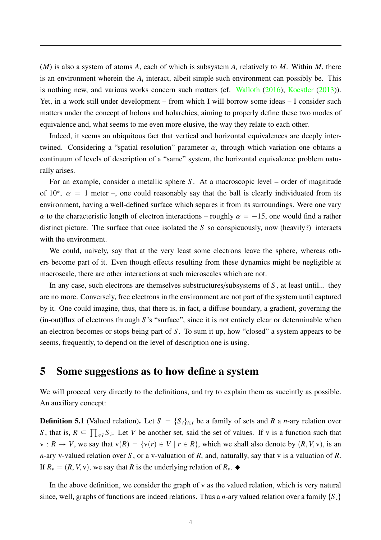(*M*) is also a system of atoms *A*, each of which is subsystem *A<sup>i</sup>* relatively to *M*. Within *M*, there is an environment wherein the  $A_i$  interact, albeit simple such environment can possibly be. This is nothing new, and various works concern such matters (cf. [Walloth](#page-10-3) [\(2016](#page-10-3)); [Koestler](#page-9-6) [\(2013](#page-9-6))). Yet, in a work still under development – from which I will borrow some ideas – I consider such matters under the concept of holons and holarchies, aiming to properly define these two modes of equivalence and, what seems to me even more elusive, the way they relate to each other.

Indeed, it seems an ubiquitous fact that vertical and horizontal equivalences are deeply intertwined. Considering a "spatial resolution" parameter  $\alpha$ , through which variation one obtains a continuum of levels of description of a "same" system, the horizontal equivalence problem naturally arises.

For an example, consider a metallic sphere *S* . At a macroscopic level – order of magnitude of 10<sup> $\alpha$ </sup>,  $\alpha$  = 1 meter –, one could reasonably say that the ball is clearly individuated from its environment, having a well-defined surface which separes it from its surroundings. Were one vary  $\alpha$  to the characteristic length of electron interactions – roughly  $\alpha = -15$ , one would find a rather distinct picture. The surface that once isolated the *S* so conspicuously, now (heavily?) interacts with the environment.

We could, naively, say that at the very least some electrons leave the sphere, whereas others become part of it. Even though effects resulting from these dynamics might be negligible at macroscale, there are other interactions at such microscales which are not.

In any case, such electrons are themselves substructures/subsystems of *S* , at least until... they are no more. Conversely, free electrons in the environment are not part of the system until captured by it. One could imagine, thus, that there is, in fact, a diffuse boundary, a gradient, governing the (in-out)flux of electrons through *S* 's "surface", since it is not entirely clear or determinable when an electron becomes or stops being part of *S* . To sum it up, how "closed" a system appears to be seems, frequently, to depend on the level of description one is using.

### 5 Some suggestions as to how define a system

We will proceed very directly to the definitions, and try to explain them as succintly as possible. An auxiliary concept:

**Definition 5.1** (Valued relation). Let  $S = \{S_i\}_{i \in I}$  be a family of sets and *R* a *n*-ary relation over *S*, that is,  $R \subseteq \prod_{i \in I} S_i$ . Let *V* be another set, said the set of values. If v is a function such that  $v: R \to V$ , we say that  $v(R) = \{v(r) \in V \mid r \in R\}$ , which we shall also denote by  $(R, V, v)$ , is an *n*-ary v-valued relation over *S* , or a v-valuation of *R*, and, naturally, say that v is a valuation of *R*. If  $R_v = (R, V, v)$ , we say that *R* is the underlying relation of  $R_v$ .

In the above definition, we consider the graph of v as the valued relation, which is very natural since, well, graphs of functions are indeed relations. Thus a *n*-ary valued relation over a family  $\{S_i\}$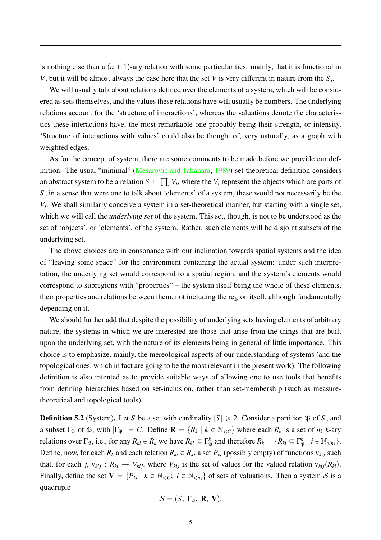is nothing else than a  $(n + 1)$ -ary relation with some particularities: mainly, that it is functional in *V*, but it will be almost always the case here that the set *V* is very different in nature from the *S <sup>i</sup>* .

We will usually talk about relations defined over the elements of a system, which will be considered as sets themselves, and the values these relations have will usually be numbers. The underlying relations account for the 'structure of interactions', whereas the valuations denote the characteristics these interactions have, the most remarkable one probably being their strength, or intensity. 'Structure of interactions with values' could also be thought of, very naturally, as a graph with weighted edges.

As for the concept of system, there are some comments to be made before we provide our definition. The usual "minimal" [\(Mesarovic and Takahara,](#page-9-11) [1989](#page-9-11)) set-theoretical definition considers an abstract system to be a relation  $S \subseteq \prod_i V_i$ , where the  $V_i$  represent the objects which are parts of *S* , in a sense that were one to talk about 'elements' of a system, these would not necessarily be the *Vi* . We shall similarly conceive a system in a set-theoretical manner, but starting with a single set, which we will call the *underlying set* of the system. This set, though, is not to be understood as the set of 'objects', or 'elements', of the system. Rather, such elements will be disjoint subsets of the underlying set.

The above choices are in consonance with our inclination towards spatial systems and the idea of "leaving some space" for the environment containing the actual system: under such interpretation, the underlying set would correspond to a spatial region, and the system's elements would correspond to subregions with "properties" – the system itself being the whole of these elements, their properties and relations between them, not including the region itself, although fundamentally depending on it.

We should further add that despite the possibility of underlying sets having elements of arbitrary nature, the systems in which we are interested are those that arise from the things that are built upon the underlying set, with the nature of its elements being in general of little importance. This choice is to emphasize, mainly, the mereological aspects of our understanding of systems (and the topological ones, which in fact are going to be the most relevant in the present work). The following definition is also intented as to provide suitable ways of allowing one to use tools that benefits from defining hierarchies based on set-inclusion, rather than set-membership (such as measuretheoretical and topological tools).

**Definition 5.2** (System). Let *S* be a set with cardinality  $|S| \ge 2$ . Consider a partition  $\mathfrak{P}$  of *S*, and a subset  $\Gamma_{\mathfrak{P}}$  of  $\mathfrak{P}$ , with  $|\Gamma_{\mathfrak{P}}| = C$ . Define  $\mathbf{R} = \{R_k | k \in \mathbb{N}_{\leq C}\}$  where each  $R_k$  is a set of  $n_k$  *k*-ary relations over  $\Gamma_{\mathfrak{P}},$  i.e., for any  $R_{ki} \in R_k$  we have  $R_{ki} \subseteq \Gamma_{\mathfrak{P}}^k$  and therefore  $R_k = \{R_{ki} \subseteq \Gamma_{\mathfrak{P}}^k \mid i \in \mathbb{N}_{\leq n_k}\}$ . Define, now, for each  $R_k$  and each relation  $R_{ki} \in R_k$ , a set  $P_{ki}$  (possibly empty) of functions  $v_{kij}$  such that, for each *j*,  $v_{kij}$  :  $R_{ki} \rightarrow V_{kij}$ , where  $V_{kij}$  is the set of values for the valued relation  $v_{kij}(R_{ki})$ . Finally, define the set  $V = {P_{ki} | k \in \mathbb{N}_{\leq C}; i \in \mathbb{N}_{\leq n_k}}$  of sets of valuations. Then a system S is a quadruple

$$
\mathcal{S}=(S,\Gamma_{\mathfrak{P}},\ \mathbf{R},\ \mathbf{V}).
$$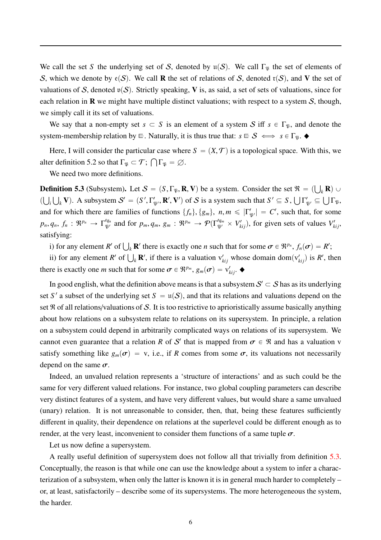We call the set *S* the underlying set of *S*, denoted by  $u(S)$ . We call  $\Gamma_{\mathfrak{P}}$  the set of elements of S, which we denote by  $e(S)$ . We call **R** the set of relations of S, denoted r(S), and V the set of valuations of S, denoted  $v(S)$ . Strictly speaking, V is, as said, a set of sets of valuations, since for each relation in  $\bf{R}$  we might have multiple distinct valuations; with respect to a system  $\bf{S}$ , though, we simply call it its set of valuations.

We say that a non-empty set  $s \subset S$  is an element of a system S iff  $s \in \Gamma_{\mathfrak{P}}$ , and denote the system-membership relation by  $\equiv$ . Naturally, it is thus true that:  $s \equiv S \iff s \in \Gamma_{\mathfrak{P}}$ .  $\blacklozenge$ 

Here, I will consider the particular case where  $S = (X, \mathcal{T})$  is a topological space. With this, we alter definition 5.2 so that  $\Gamma_{\mathfrak{P}} \subset \mathcal{T}$ ;  $\bigcap \Gamma_{\mathfrak{P}} = \emptyset$ .

We need two more definitions.

<span id="page-5-0"></span>**Definition 5.3** (Subsystem). Let  $S = (S, \Gamma_{\mathfrak{P}}, \mathbf{R}, \mathbf{V})$  be a system. Consider the set  $\mathfrak{R} = (\bigcup_{k} \mathbf{R}) \cup$  $(\bigcup_i \bigcup_k V)$ . A subsystem  $S' = (S', \Gamma'_{\mathfrak{P}'}, \mathbb{R}', V')$  of S is a system such that  $S' \subseteq S$ ,  $\bigcup \Gamma'_{\mathfrak{P}'} \subseteq \bigcup \Gamma_{\mathfrak{P}}$ , and for which there are families of functions  $\{f_n\}$ ,  $\{g_m\}$ ,  $n, m \le |\Gamma'_{\mathfrak{P}'}| = C'$ , such that, for some  $p_n, q_n, f_n : \mathfrak{R}^{p_n} \to \Gamma_{\mathfrak{P}'}^{q_n}$  and for  $p_m, q_m, g_m : \mathfrak{R}^{p_m} \to \mathcal{P}(\Gamma_{\mathfrak{P}'}^{q_m} \times V_{k,j}),$  for given sets of values  $V_{k,j}$ , satisfying:

i) for any element *R'* of  $\bigcup_k \mathbf{R}'$  there is exactly one *n* such that for some  $\sigma \in \mathbb{R}^{p_n}$ ,  $f_n(\sigma) = R'$ ;

ii) for any element *R'* of  $\bigcup_k \mathbf{R}'$ , if there is a valuation  $v'_{kij}$  whose domain dom $(v'_{kij})$  is *R'*, then there is exactly one *m* such that for some  $\sigma \in \mathbb{R}^{p_m}$ ,  $g_m(\sigma) = v'_{kij}$ .

In good english, what the definition above means is that a subsystem  $\mathcal{S}' \subset \mathcal{S}$  has as its underlying set S' a subset of the underlying set  $S = u(S)$ , and that its relations and valuations depend on the set  $\Re$  of all relations/valuations of S. It is too restrictive to aprioristically assume basically anything about how relations on a subsystem relate to relations on its supersystem. In principle, a relation on a subsystem could depend in arbitrarily complicated ways on relations of its supersystem. We cannot even guarantee that a relation *R* of S' that is mapped from  $\sigma \in \mathbb{R}$  and has a valuation v satisfy something like  $g_m(\sigma) = v$ , i.e., if *R* comes from some  $\sigma$ , its valuations not necessarily depend on the same  $\sigma$ .

Indeed, an unvalued relation represents a 'structure of interactions' and as such could be the same for very different valued relations. For instance, two global coupling parameters can describe very distinct features of a system, and have very different values, but would share a same unvalued (unary) relation. It is not unreasonable to consider, then, that, being these features sufficiently different in quality, their dependence on relations at the superlevel could be different enough as to render, at the very least, inconvenient to consider them functions of a same tuple  $\sigma$ .

Let us now define a supersystem.

A really useful definition of supersystem does not follow all that trivially from definition [5.3.](#page-5-0) Conceptually, the reason is that while one can use the knowledge about a system to infer a characterization of a subsystem, when only the latter is known it is in general much harder to completely – or, at least, satisfactorily – describe some of its supersystems. The more heterogeneous the system, the harder.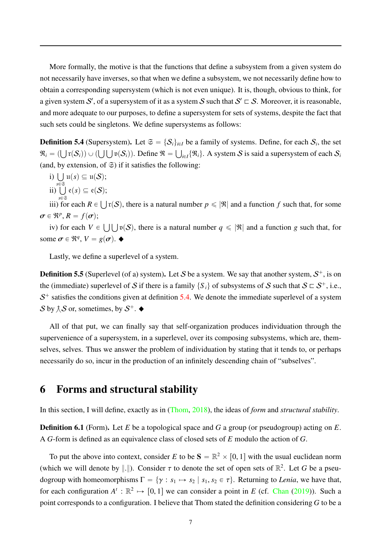More formally, the motive is that the functions that define a subsystem from a given system do not necessarily have inverses, so that when we define a subsystem, we not necessarily define how to obtain a corresponding supersystem (which is not even unique). It is, though, obvious to think, for a given system S', of a supersystem of it as a system S such that  $S' \sqsubset S$ . Moreover, it is reasonable, and more adequate to our purposes, to define a supersystem for sets of systems, despite the fact that such sets could be singletons. We define supersystems as follows:

<span id="page-6-0"></span>**Definition 5.4** (Supersystem). Let  $\mathfrak{S} = \{S_i\}_{i \in I}$  be a family of systems. Define, for each  $S_i$ , the set  $\mathfrak{R}_i = (\bigcup \mathfrak{r}(\mathcal{S}_i)) \cup (\bigcup \bigcup \mathfrak{v}(\mathcal{S}_i))$ . Define  $\mathfrak{R} = \bigcup_{i \in I} \{\mathfrak{R}_i\}$ . A system S is said a supersystem of each  $\mathcal{S}_i$ (and, by extension, of  $\Im$ ) if it satisfies the following:

i) 
$$
\bigcup_{s\in\mathfrak{S}}\mathfrak{u}(s)\subseteq\mathfrak{u}(\mathcal{S});
$$

$$
\mathrm{ii})\bigcup_{s\in\mathfrak{S}}\mathrm{e}(s)\subseteq\mathrm{e}(\mathcal{S});
$$

iii) for each  $R \in \bigcup_r S$ , there is a natural number  $p \leq |\Re|$  and a function *f* such that, for some  $\sigma \in \mathfrak{R}^p, R = f(\sigma);$ 

iv) for each  $V \in \bigcup \bigcup \mathfrak{v}(S)$ , there is a natural number  $q \leq |\mathfrak{R}|$  and a function *g* such that, for some  $\sigma \in \mathbb{R}^q$ ,  $V = g(\sigma)$ .

Lastly, we define a superlevel of a system.

**Definition 5.5** (Superlevel (of a) system). Let S be a system. We say that another system,  $S^+$ , is on the (immediate) superlevel of S if there is a family  $\{S_i\}$  of subsystems of S such that  $S \subset S^+$ , i.e.,  $S<sup>+</sup>$  satisfies the conditions given at definition [5.4.](#page-6-0) We denote the immediate superlevel of a system S by  $\hat{\wedge}$  S or, sometimes, by  $S^+$ .

All of that put, we can finally say that self-organization produces individuation through the supervenience of a supersystem, in a superlevel, over its composing subsystems, which are, themselves, selves. Thus we answer the problem of individuation by stating that it tends to, or perhaps necessarily do so, incur in the production of an infinitely descending chain of "subselves".

#### 6 Forms and structural stability

In this section, I will define, exactly as in [\(Thom](#page-10-0), [2018](#page-10-0)), the ideas of *form* and *structural stability*.

Definition 6.1 (Form). Let *E* be a topological space and *G* a group (or pseudogroup) acting on *E*. A *G*-form is defined as an equivalence class of closed sets of *E* modulo the action of *G*.

To put the above into context, consider *E* to be  $S = \mathbb{R}^2 \times [0, 1]$  with the usual euclidean norm (which we will denote by  $\|.\|$ ). Consider  $\tau$  to denote the set of open sets of  $\mathbb{R}^2$ . Let G be a pseudogroup with homeomorphisms  $\Gamma = \{ \gamma : s_1 \mapsto s_2 \mid s_1, s_2 \in \tau \}$ . Returning to *Lenia*, we have that, for each configuration  $A^t : \mathbb{R}^2 \to [0, 1]$  we can consider a point in *E* (cf. [Chan](#page-9-0) [\(2019](#page-9-0))). Such a point corresponds to a configuration. I believe that Thom stated the definition considering *G* to be a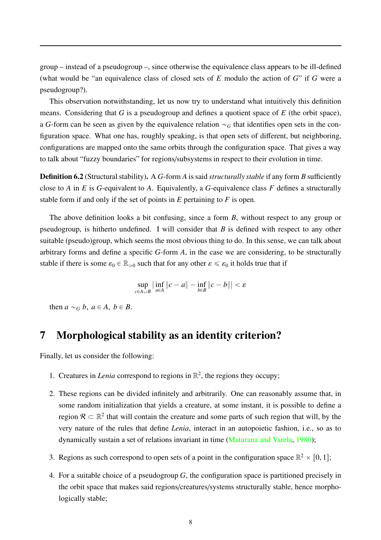group – instead of a pseudogroup –, since otherwise the equivalence class appears to be ill-defined (what would be "an equivalence class of closed sets of *E* modulo the action of *G*" if *G* were a pseudogroup?).

This observation notwithstanding, let us now try to understand what intuitively this definition means. Considering that *G* is a pseudogroup and defines a quotient space of *E* (the orbit space), a *G*-form can be seen as given by the equivalence relation  $\sim_G$  that identifies open sets in the configuration space. What one has, roughly speaking, is that open sets of different, but neighboring, configurations are mapped onto the same orbits through the configuration space. That gives a way to talk about "fuzzy boundaries" for regions/subsystems in respect to their evolution in time.

Definition 6.2 (Structural stability). A *G*-form *A* is said *structurally stable* if any form *B* sufficiently close to *A* in *E* is *G*-equivalent to *A*. Equivalently, a *G*-equivalence class *F* defines a structurally stable form if and only if the set of points in *E* pertaining to *F* is open.

The above definition looks a bit confusing, since a form *B*, without respect to any group or pseudogroup, is hitherto undefined. I will consider that *B* is defined with respect to any other suitable (pseudo)group, which seems the most obvious thing to do. In this sense, we can talk about arbitrary forms and define a specific *G*-form *A*, in the case we are considering, to be structurally stable if there is some  $\varepsilon_0 \in \mathbb{R}_{>0}$  such that for any other  $\varepsilon \leq \varepsilon_0$  it holds true that if

$$
\sup_{c \in A \cup B} \left| \inf_{a \in A} \left\| c - a \right\| - \inf_{b \in B} \left\| c - b \right\| \right| < \varepsilon
$$

then  $a \sim_G b$ ,  $a \in A$ ,  $b \in B$ .

## 7 Morphological stability as an identity criterion?

Finally, let us consider the following:

- 1. Creatures in *Lenia* correspond to regions in  $\mathbb{R}^2$ , the regions they occupy;
- 2. These regions can be divided infinitely and arbitrarily. One can reasonably assume that, in some random initialization that yields a creature, at some instant, it is possible to define a region  $\mathcal{R} \subset \mathbb{R}^2$  that will contain the creature and some parts of such region that will, by the very nature of the rules that define *Lenia*, interact in an autopoietic fashion, i.e., so as to dynamically sustain a set of relations invariant in time [\(Maturana and Varela](#page-9-12), [1980](#page-9-12));
- 3. Regions as such correspond to open sets of a point in the configuration space  $\mathbb{R}^2 \times [0, 1]$ ;
- 4. For a suitable choice of a pseudogroup *G*, the configuration space is partitioned precisely in the orbit space that makes said regions/creatures/systems structurally stable, hence morphologically stable;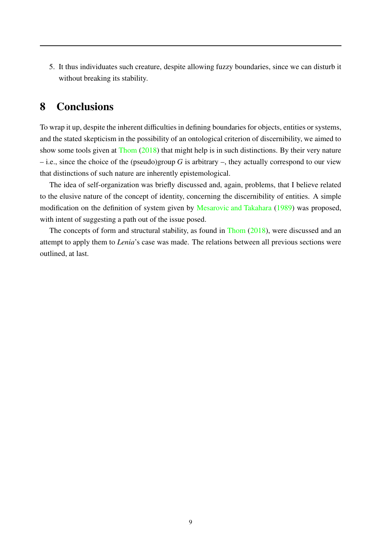5. It thus individuates such creature, despite allowing fuzzy boundaries, since we can disturb it without breaking its stability.

# 8 Conclusions

To wrap it up, despite the inherent difficulties in defining boundaries for objects, entities or systems, and the stated skepticism in the possibility of an ontological criterion of discernibility, we aimed to show some tools given at [Thom](#page-10-0) [\(2018\)](#page-10-0) that might help is in such distinctions. By their very nature – i.e., since the choice of the (pseudo)group *G* is arbitrary –, they actually correspond to our view that distinctions of such nature are inherently epistemological.

The idea of self-organization was briefly discussed and, again, problems, that I believe related to the elusive nature of the concept of identity, concerning the discernibility of entities. A simple modification on the definition of system given by [Mesarovic and Takahara](#page-9-11) [\(1989](#page-9-11)) was proposed, with intent of suggesting a path out of the issue posed.

The concepts of form and structural stability, as found in [Thom](#page-10-0) [\(2018\)](#page-10-0), were discussed and an attempt to apply them to *Lenia*'s case was made. The relations between all previous sections were outlined, at last.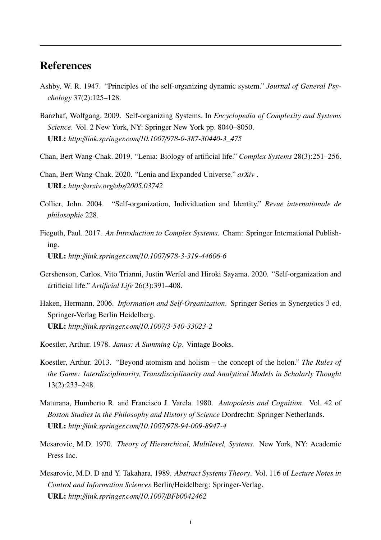# References

- <span id="page-9-4"></span>Ashby, W. R. 1947. "Principles of the self-organizing dynamic system." *Journal of General Psychology* 37(2):125–128.
- <span id="page-9-3"></span>Banzhaf, Wolfgang. 2009. Self-organizing Systems. In *Encyclopedia of Complexity and Systems Science*. Vol. 2 New York, NY: Springer New York pp. 8040–8050. URL: *http:*//*link.springer.com*/*10.1007*/*978-0-387-30440-3\_475*
- <span id="page-9-0"></span>Chan, Bert Wang-Chak. 2019. "Lenia: Biology of artificial life." *Complex Systems* 28(3):251–256.
- <span id="page-9-1"></span>Chan, Bert Wang-Chak. 2020. "Lenia and Expanded Universe." *arXiv* . URL: *http:*//*arxiv.org*/*abs*/*2005.03742*
- <span id="page-9-5"></span>Collier, John. 2004. "Self-organization, Individuation and Identity." *Revue internationale de philosophie* 228.
- <span id="page-9-10"></span>Fieguth, Paul. 2017. *An Introduction to Complex Systems*. Cham: Springer International Publishing. URL: *http:*//*link.springer.com*/*10.1007*/*978-3-319-44606-6*
- <span id="page-9-2"></span>Gershenson, Carlos, Vito Trianni, Justin Werfel and Hiroki Sayama. 2020. "Self-organization and artificial life." *Artificial Life* 26(3):391–408.
- <span id="page-9-8"></span>Haken, Hermann. 2006. *Information and Self-Organization*. Springer Series in Synergetics 3 ed. Springer-Verlag Berlin Heidelberg. URL: *http:*//*link.springer.com*/*10.1007*/*3-540-33023-2*
- <span id="page-9-7"></span>Koestler, Arthur. 1978. *Janus: A Summing Up*. Vintage Books.
- <span id="page-9-6"></span>Koestler, Arthur. 2013. "Beyond atomism and holism – the concept of the holon." *The Rules of the Game: Interdisciplinarity, Transdisciplinarity and Analytical Models in Scholarly Thought* 13(2):233–248.
- <span id="page-9-12"></span>Maturana, Humberto R. and Francisco J. Varela. 1980. *Autopoiesis and Cognition*. Vol. 42 of *Boston Studies in the Philosophy and History of Science* Dordrecht: Springer Netherlands. URL: *http:*//*link.springer.com*/*10.1007*/*978-94-009-8947-4*
- <span id="page-9-9"></span>Mesarovic, M.D. 1970. *Theory of Hierarchical, Multilevel, Systems*. New York, NY: Academic Press Inc.
- <span id="page-9-11"></span>Mesarovic, M.D. D and Y. Takahara. 1989. *Abstract Systems Theory*. Vol. 116 of *Lecture Notes in Control and Information Sciences* Berlin/Heidelberg: Springer-Verlag. URL: *http:*//*link.springer.com*/*10.1007*/*BFb0042462*